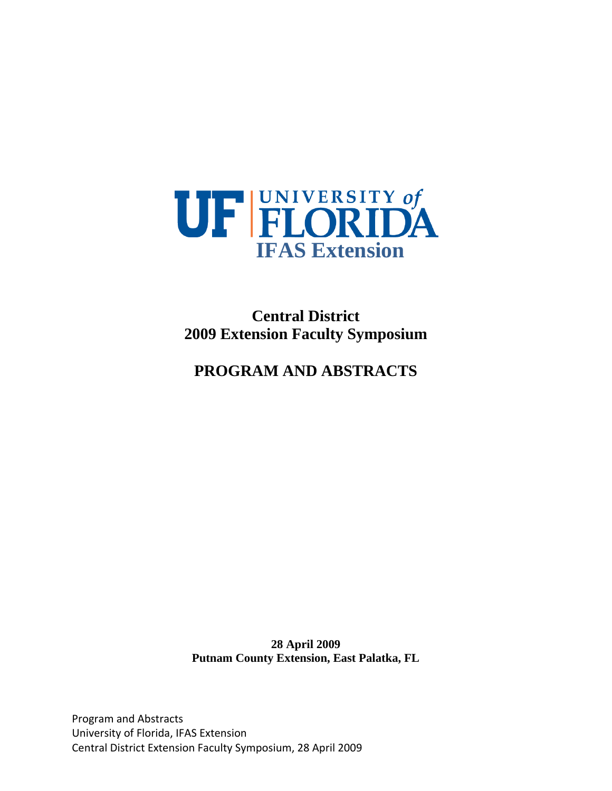

**Central District 2009 Extension Faculty Symposium** 

### **PROGRAM AND ABSTRACTS**

**28 April 2009 Putnam County Extension, East Palatka, FL** 

Program and Abstracts University of Florida, IFAS Extension Central District Extension Faculty Symposium, 28 April 2009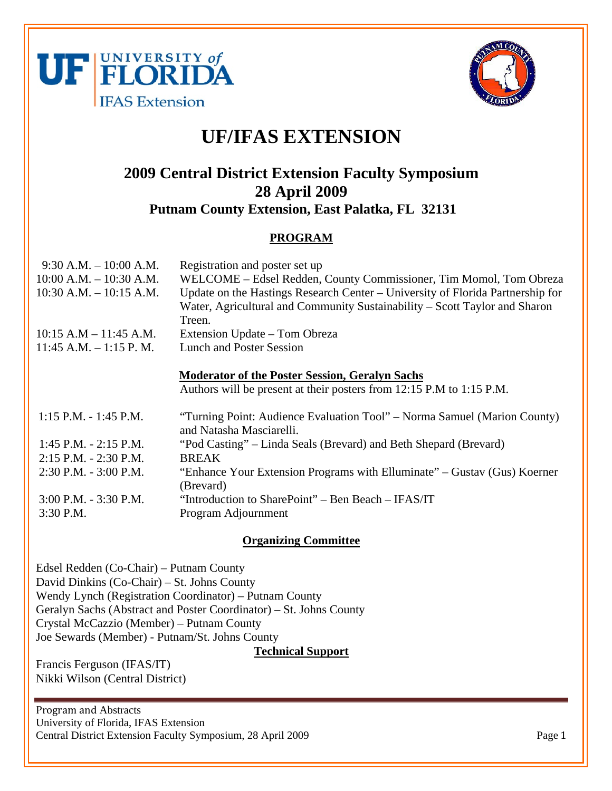



### **UF/IFAS EXTENSION**

### **2009 Central District Extension Faculty Symposium 28 April 2009 Putnam County Extension, East Palatka, FL 32131**

#### **PROGRAM**

| $9:30$ A.M. $-10:00$ A.M.<br>$10:00$ A.M. $- 10:30$ A.M.<br>$10:30$ A.M. $- 10:15$ A.M. | Registration and poster set up<br>WELCOME – Edsel Redden, County Commissioner, Tim Momol, Tom Obreza<br>Update on the Hastings Research Center – University of Florida Partnership for<br>Water, Agricultural and Community Sustainability – Scott Taylor and Sharon<br>Treen. |
|-----------------------------------------------------------------------------------------|--------------------------------------------------------------------------------------------------------------------------------------------------------------------------------------------------------------------------------------------------------------------------------|
| $10:15$ A.M $- 11:45$ A.M.                                                              | Extension Update – Tom Obreza                                                                                                                                                                                                                                                  |
| $11:45$ A.M. $-1:15$ P.M.                                                               | <b>Lunch and Poster Session</b>                                                                                                                                                                                                                                                |
|                                                                                         | <b>Moderator of the Poster Session, Geralyn Sachs</b><br>Authors will be present at their posters from 12:15 P.M to 1:15 P.M.                                                                                                                                                  |
| $1:15$ P.M. - 1:45 P.M.                                                                 | "Turning Point: Audience Evaluation Tool" – Norma Samuel (Marion County)                                                                                                                                                                                                       |
|                                                                                         | and Natasha Masciarelli.                                                                                                                                                                                                                                                       |
| $1:45$ P.M. $- 2:15$ P.M.                                                               | "Pod Casting" – Linda Seals (Brevard) and Beth Shepard (Brevard)                                                                                                                                                                                                               |
| $2:15$ P.M. $- 2:30$ P.M.                                                               | <b>BREAK</b>                                                                                                                                                                                                                                                                   |
| $2:30$ P.M. $-3:00$ P.M.                                                                | "Enhance Your Extension Programs with Elluminate" – Gustav (Gus) Koerner                                                                                                                                                                                                       |
|                                                                                         | (Brevard)                                                                                                                                                                                                                                                                      |
| 3:00 P.M. - 3:30 P.M.                                                                   | "Introduction to SharePoint" – Ben Beach – IFAS/IT                                                                                                                                                                                                                             |
| $3:30$ P.M.                                                                             | Program Adjournment                                                                                                                                                                                                                                                            |

#### **Organizing Committee**

Edsel Redden (Co-Chair) – Putnam County David Dinkins (Co-Chair) – St. Johns County Wendy Lynch (Registration Coordinator) – Putnam County Geralyn Sachs (Abstract and Poster Coordinator) – St. Johns County Crystal McCazzio (Member) – Putnam County Joe Sewards (Member) - Putnam/St. Johns County

**Technical Support**

Francis Ferguson (IFAS/IT) Nikki Wilson (Central District)

Program and Abstracts University of Florida, IFAS Extension Central District Extension Faculty Symposium, 28 April 2009 Page 1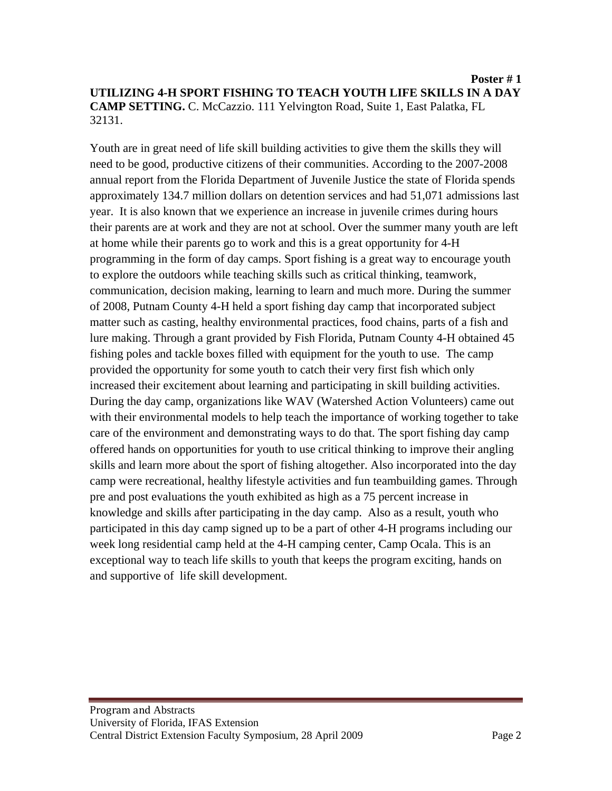Youth are in great need of life skill building activities to give them the skills they will need to be good, productive citizens of their communities. According to the 2007-2008 annual report from the Florida Department of Juvenile Justice the state of Florida spends approximately 134.7 million dollars on detention services and had 51,071 admissions last year. It is also known that we experience an increase in juvenile crimes during hours their parents are at work and they are not at school. Over the summer many youth are left at home while their parents go to work and this is a great opportunity for 4-H programming in the form of day camps. Sport fishing is a great way to encourage youth to explore the outdoors while teaching skills such as critical thinking, teamwork, communication, decision making, learning to learn and much more. During the summer of 2008, Putnam County 4-H held a sport fishing day camp that incorporated subject matter such as casting, healthy environmental practices, food chains, parts of a fish and lure making. Through a grant provided by Fish Florida, Putnam County 4-H obtained 45 fishing poles and tackle boxes filled with equipment for the youth to use. The camp provided the opportunity for some youth to catch their very first fish which only increased their excitement about learning and participating in skill building activities. During the day camp, organizations like WAV (Watershed Action Volunteers) came out with their environmental models to help teach the importance of working together to take care of the environment and demonstrating ways to do that. The sport fishing day camp offered hands on opportunities for youth to use critical thinking to improve their angling skills and learn more about the sport of fishing altogether. Also incorporated into the day camp were recreational, healthy lifestyle activities and fun teambuilding games. Through pre and post evaluations the youth exhibited as high as a 75 percent increase in knowledge and skills after participating in the day camp. Also as a result, youth who participated in this day camp signed up to be a part of other 4-H programs including our week long residential camp held at the 4-H camping center, Camp Ocala. This is an exceptional way to teach life skills to youth that keeps the program exciting, hands on and supportive of life skill development.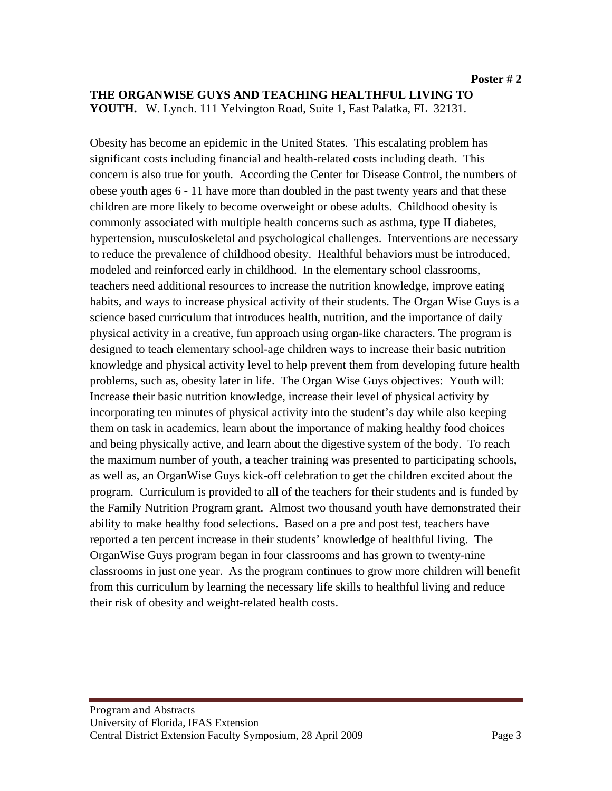#### **THE ORGANWISE GUYS AND TEACHING HEALTHFUL LIVING TO YOUTH.** W. Lynch. 111 Yelvington Road, Suite 1, East Palatka, FL 32131.

Obesity has become an epidemic in the United States. This escalating problem has significant costs including financial and health-related costs including death. This concern is also true for youth. According the Center for Disease Control, the numbers of obese youth ages 6 - 11 have more than doubled in the past twenty years and that these children are more likely to become overweight or obese adults. Childhood obesity is commonly associated with multiple health concerns such as asthma, type II diabetes, hypertension, musculoskeletal and psychological challenges. Interventions are necessary to reduce the prevalence of childhood obesity. Healthful behaviors must be introduced, modeled and reinforced early in childhood. In the elementary school classrooms, teachers need additional resources to increase the nutrition knowledge, improve eating habits, and ways to increase physical activity of their students. The Organ Wise Guys is a science based curriculum that introduces health, nutrition, and the importance of daily physical activity in a creative, fun approach using organ-like characters. The program is designed to teach elementary school-age children ways to increase their basic nutrition knowledge and physical activity level to help prevent them from developing future health problems, such as, obesity later in life. The Organ Wise Guys objectives: Youth will: Increase their basic nutrition knowledge, increase their level of physical activity by incorporating ten minutes of physical activity into the student's day while also keeping them on task in academics, learn about the importance of making healthy food choices and being physically active, and learn about the digestive system of the body. To reach the maximum number of youth, a teacher training was presented to participating schools, as well as, an OrganWise Guys kick-off celebration to get the children excited about the program. Curriculum is provided to all of the teachers for their students and is funded by the Family Nutrition Program grant. Almost two thousand youth have demonstrated their ability to make healthy food selections. Based on a pre and post test, teachers have reported a ten percent increase in their students' knowledge of healthful living. The OrganWise Guys program began in four classrooms and has grown to twenty-nine classrooms in just one year. As the program continues to grow more children will benefit from this curriculum by learning the necessary life skills to healthful living and reduce their risk of obesity and weight-related health costs.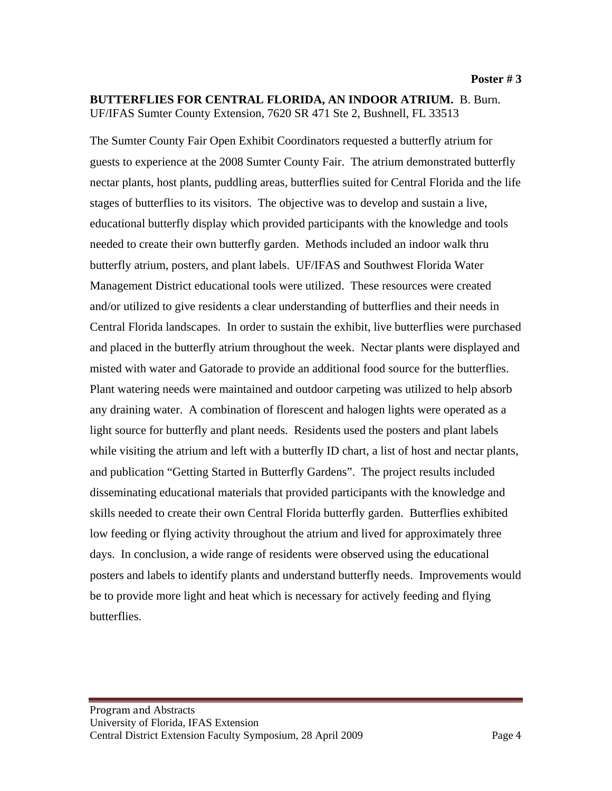#### **BUTTERFLIES FOR CENTRAL FLORIDA, AN INDOOR ATRIUM.** B. Burn. UF/IFAS Sumter County Extension, 7620 SR 471 Ste 2, Bushnell, FL 33513

The Sumter County Fair Open Exhibit Coordinators requested a butterfly atrium for guests to experience at the 2008 Sumter County Fair. The atrium demonstrated butterfly nectar plants, host plants, puddling areas, butterflies suited for Central Florida and the life stages of butterflies to its visitors. The objective was to develop and sustain a live, educational butterfly display which provided participants with the knowledge and tools needed to create their own butterfly garden. Methods included an indoor walk thru butterfly atrium, posters, and plant labels. UF/IFAS and Southwest Florida Water Management District educational tools were utilized. These resources were created and/or utilized to give residents a clear understanding of butterflies and their needs in Central Florida landscapes. In order to sustain the exhibit, live butterflies were purchased and placed in the butterfly atrium throughout the week. Nectar plants were displayed and misted with water and Gatorade to provide an additional food source for the butterflies. Plant watering needs were maintained and outdoor carpeting was utilized to help absorb any draining water. A combination of florescent and halogen lights were operated as a light source for butterfly and plant needs. Residents used the posters and plant labels while visiting the atrium and left with a butterfly ID chart, a list of host and nectar plants, and publication "Getting Started in Butterfly Gardens". The project results included disseminating educational materials that provided participants with the knowledge and skills needed to create their own Central Florida butterfly garden. Butterflies exhibited low feeding or flying activity throughout the atrium and lived for approximately three days. In conclusion, a wide range of residents were observed using the educational posters and labels to identify plants and understand butterfly needs. Improvements would be to provide more light and heat which is necessary for actively feeding and flying butterflies.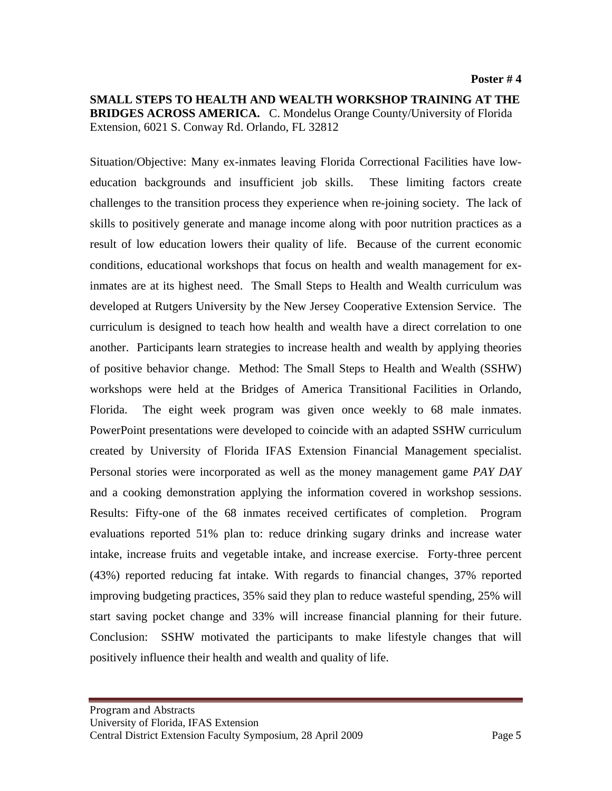**SMALL STEPS TO HEALTH AND WEALTH WORKSHOP TRAINING AT THE BRIDGES ACROSS AMERICA.** C. Mondelus Orange County/University of Florida Extension, 6021 S. Conway Rd. Orlando, FL 32812

Situation/Objective: Many ex-inmates leaving Florida Correctional Facilities have loweducation backgrounds and insufficient job skills. These limiting factors create challenges to the transition process they experience when re-joining society. The lack of skills to positively generate and manage income along with poor nutrition practices as a result of low education lowers their quality of life. Because of the current economic conditions, educational workshops that focus on health and wealth management for exinmates are at its highest need. The Small Steps to Health and Wealth curriculum was developed at Rutgers University by the New Jersey Cooperative Extension Service. The curriculum is designed to teach how health and wealth have a direct correlation to one another. Participants learn strategies to increase health and wealth by applying theories of positive behavior change. Method: The Small Steps to Health and Wealth (SSHW) workshops were held at the Bridges of America Transitional Facilities in Orlando, Florida. The eight week program was given once weekly to 68 male inmates. PowerPoint presentations were developed to coincide with an adapted SSHW curriculum created by University of Florida IFAS Extension Financial Management specialist. Personal stories were incorporated as well as the money management game *PAY DAY* and a cooking demonstration applying the information covered in workshop sessions. Results: Fifty-one of the 68 inmates received certificates of completion. Program evaluations reported 51% plan to: reduce drinking sugary drinks and increase water intake, increase fruits and vegetable intake, and increase exercise. Forty-three percent (43%) reported reducing fat intake. With regards to financial changes, 37% reported improving budgeting practices, 35% said they plan to reduce wasteful spending, 25% will start saving pocket change and 33% will increase financial planning for their future. Conclusion: SSHW motivated the participants to make lifestyle changes that will positively influence their health and wealth and quality of life.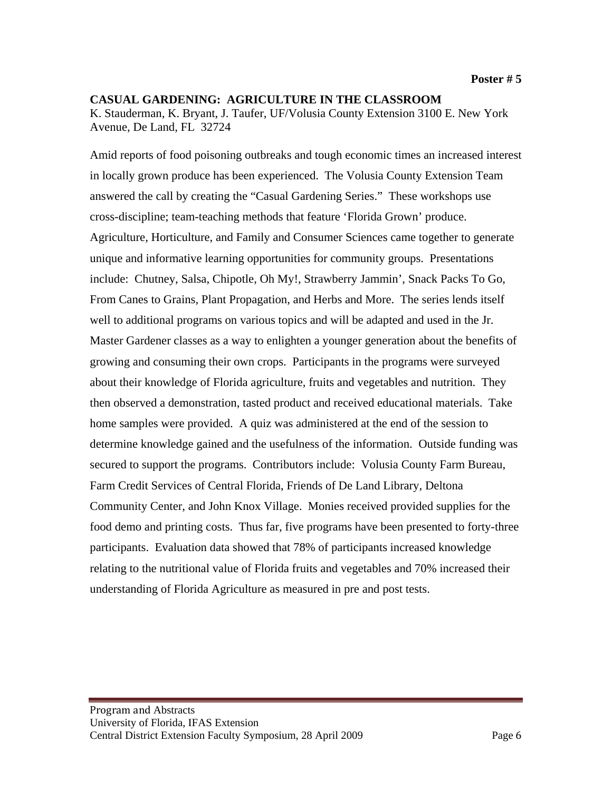#### **CASUAL GARDENING: AGRICULTURE IN THE CLASSROOM** K. Stauderman, K. Bryant, J. Taufer, UF/Volusia County Extension 3100 E. New York Avenue, De Land, FL 32724

Amid reports of food poisoning outbreaks and tough economic times an increased interest in locally grown produce has been experienced. The Volusia County Extension Team answered the call by creating the "Casual Gardening Series." These workshops use cross-discipline; team-teaching methods that feature 'Florida Grown' produce. Agriculture, Horticulture, and Family and Consumer Sciences came together to generate unique and informative learning opportunities for community groups. Presentations include: Chutney, Salsa, Chipotle, Oh My!, Strawberry Jammin', Snack Packs To Go, From Canes to Grains, Plant Propagation, and Herbs and More. The series lends itself well to additional programs on various topics and will be adapted and used in the Jr. Master Gardener classes as a way to enlighten a younger generation about the benefits of growing and consuming their own crops. Participants in the programs were surveyed about their knowledge of Florida agriculture, fruits and vegetables and nutrition. They then observed a demonstration, tasted product and received educational materials. Take home samples were provided. A quiz was administered at the end of the session to determine knowledge gained and the usefulness of the information. Outside funding was secured to support the programs. Contributors include: Volusia County Farm Bureau, Farm Credit Services of Central Florida, Friends of De Land Library, Deltona Community Center, and John Knox Village. Monies received provided supplies for the food demo and printing costs. Thus far, five programs have been presented to forty-three participants. Evaluation data showed that 78% of participants increased knowledge relating to the nutritional value of Florida fruits and vegetables and 70% increased their understanding of Florida Agriculture as measured in pre and post tests.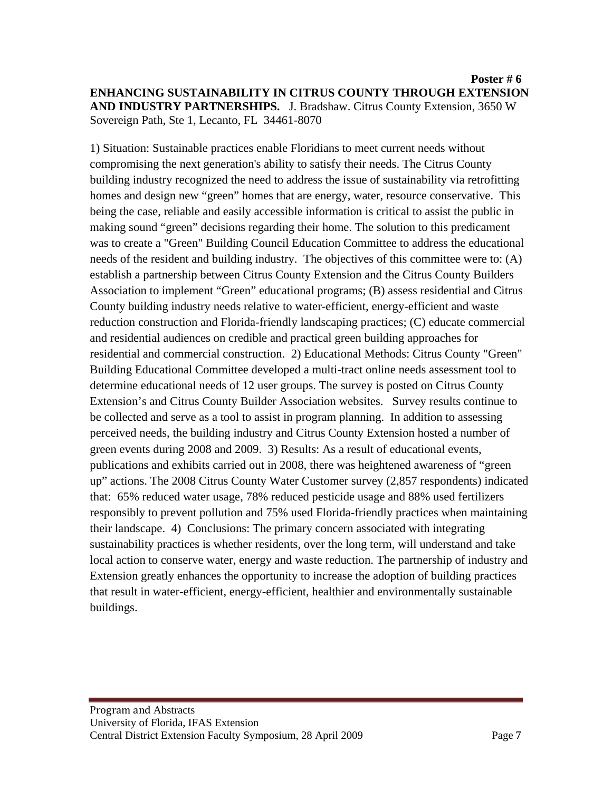1) Situation: Sustainable practices enable Floridians to meet current needs without compromising the next generation's ability to satisfy their needs. The Citrus County building industry recognized the need to address the issue of sustainability via retrofitting homes and design new "green" homes that are energy, water, resource conservative. This being the case, reliable and easily accessible information is critical to assist the public in making sound "green" decisions regarding their home. The solution to this predicament was to create a "Green" Building Council Education Committee to address the educational needs of the resident and building industry. The objectives of this committee were to: (A) establish a partnership between Citrus County Extension and the Citrus County Builders Association to implement "Green" educational programs; (B) assess residential and Citrus County building industry needs relative to water-efficient, energy-efficient and waste reduction construction and Florida-friendly landscaping practices; (C) educate commercial and residential audiences on credible and practical green building approaches for residential and commercial construction. 2) Educational Methods: Citrus County "Green" Building Educational Committee developed a multi-tract online needs assessment tool to determine educational needs of 12 user groups. The survey is posted on Citrus County Extension's and Citrus County Builder Association websites. Survey results continue to be collected and serve as a tool to assist in program planning. In addition to assessing perceived needs, the building industry and Citrus County Extension hosted a number of green events during 2008 and 2009. 3) Results: As a result of educational events, publications and exhibits carried out in 2008, there was heightened awareness of "green up" actions. The 2008 Citrus County Water Customer survey (2,857 respondents) indicated that: 65% reduced water usage, 78% reduced pesticide usage and 88% used fertilizers responsibly to prevent pollution and 75% used Florida-friendly practices when maintaining their landscape. 4) Conclusions: The primary concern associated with integrating sustainability practices is whether residents, over the long term, will understand and take local action to conserve water, energy and waste reduction. The partnership of industry and Extension greatly enhances the opportunity to increase the adoption of building practices that result in water-efficient, energy-efficient, healthier and environmentally sustainable buildings.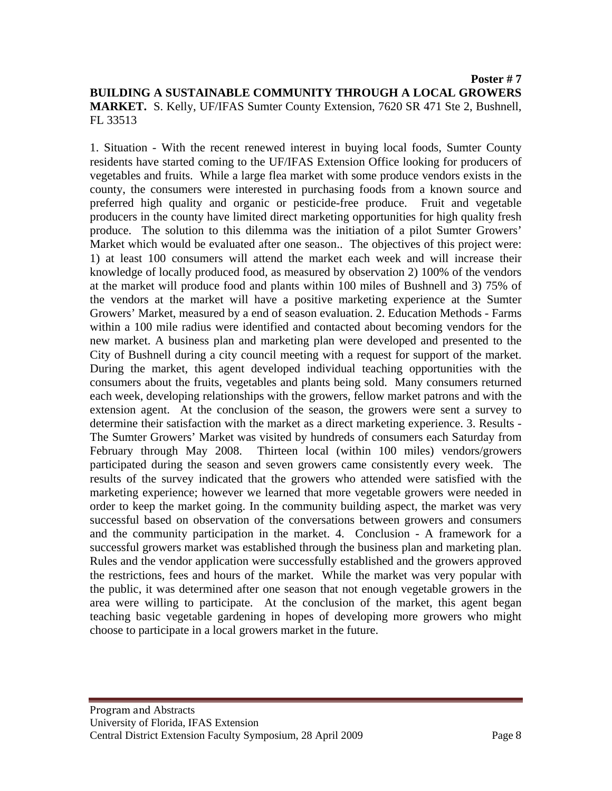1. Situation - With the recent renewed interest in buying local foods, Sumter County residents have started coming to the UF/IFAS Extension Office looking for producers of vegetables and fruits. While a large flea market with some produce vendors exists in the county, the consumers were interested in purchasing foods from a known source and preferred high quality and organic or pesticide-free produce. Fruit and vegetable producers in the county have limited direct marketing opportunities for high quality fresh produce. The solution to this dilemma was the initiation of a pilot Sumter Growers' Market which would be evaluated after one season.. The objectives of this project were: 1) at least 100 consumers will attend the market each week and will increase their knowledge of locally produced food, as measured by observation 2) 100% of the vendors at the market will produce food and plants within 100 miles of Bushnell and 3) 75% of the vendors at the market will have a positive marketing experience at the Sumter Growers' Market, measured by a end of season evaluation. 2. Education Methods - Farms within a 100 mile radius were identified and contacted about becoming vendors for the new market. A business plan and marketing plan were developed and presented to the City of Bushnell during a city council meeting with a request for support of the market. During the market, this agent developed individual teaching opportunities with the consumers about the fruits, vegetables and plants being sold. Many consumers returned each week, developing relationships with the growers, fellow market patrons and with the extension agent. At the conclusion of the season, the growers were sent a survey to determine their satisfaction with the market as a direct marketing experience. 3. Results - The Sumter Growers' Market was visited by hundreds of consumers each Saturday from February through May 2008. Thirteen local (within 100 miles) vendors/growers participated during the season and seven growers came consistently every week. The results of the survey indicated that the growers who attended were satisfied with the marketing experience; however we learned that more vegetable growers were needed in order to keep the market going. In the community building aspect, the market was very successful based on observation of the conversations between growers and consumers and the community participation in the market. 4. Conclusion - A framework for a successful growers market was established through the business plan and marketing plan. Rules and the vendor application were successfully established and the growers approved the restrictions, fees and hours of the market. While the market was very popular with the public, it was determined after one season that not enough vegetable growers in the area were willing to participate. At the conclusion of the market, this agent began teaching basic vegetable gardening in hopes of developing more growers who might choose to participate in a local growers market in the future.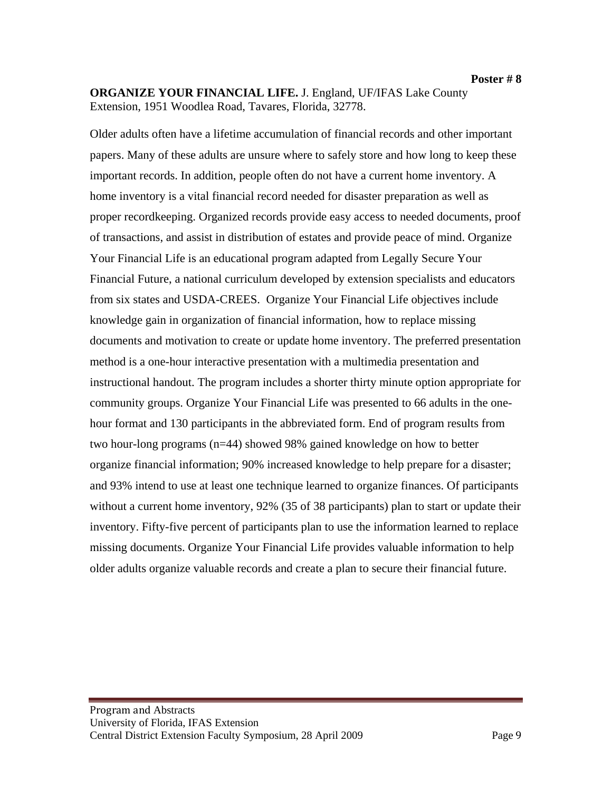**ORGANIZE YOUR FINANCIAL LIFE.** J. England, UF/IFAS Lake County Extension, 1951 Woodlea Road, Tavares, Florida, 32778.

Older adults often have a lifetime accumulation of financial records and other important papers. Many of these adults are unsure where to safely store and how long to keep these important records. In addition, people often do not have a current home inventory. A home inventory is a vital financial record needed for disaster preparation as well as proper recordkeeping. Organized records provide easy access to needed documents, proof of transactions, and assist in distribution of estates and provide peace of mind. Organize Your Financial Life is an educational program adapted from Legally Secure Your Financial Future, a national curriculum developed by extension specialists and educators from six states and USDA-CREES. Organize Your Financial Life objectives include knowledge gain in organization of financial information, how to replace missing documents and motivation to create or update home inventory. The preferred presentation method is a one-hour interactive presentation with a multimedia presentation and instructional handout. The program includes a shorter thirty minute option appropriate for community groups. Organize Your Financial Life was presented to 66 adults in the onehour format and 130 participants in the abbreviated form. End of program results from two hour-long programs (n=44) showed 98% gained knowledge on how to better organize financial information; 90% increased knowledge to help prepare for a disaster; and 93% intend to use at least one technique learned to organize finances. Of participants without a current home inventory, 92% (35 of 38 participants) plan to start or update their inventory. Fifty-five percent of participants plan to use the information learned to replace missing documents. Organize Your Financial Life provides valuable information to help older adults organize valuable records and create a plan to secure their financial future.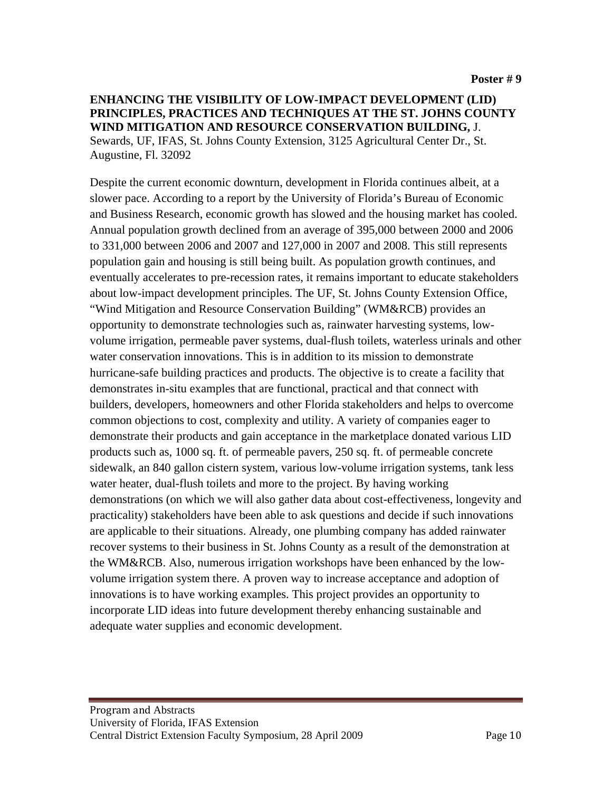#### **ENHANCING THE VISIBILITY OF LOW-IMPACT DEVELOPMENT (LID) PRINCIPLES, PRACTICES AND TECHNIQUES AT THE ST. JOHNS COUNTY WIND MITIGATION AND RESOURCE CONSERVATION BUILDING,** J. Sewards, UF, IFAS, St. Johns County Extension, 3125 Agricultural Center Dr., St. Augustine, Fl. 32092

Despite the current economic downturn, development in Florida continues albeit, at a slower pace. According to a report by the University of Florida's Bureau of Economic and Business Research, economic growth has slowed and the housing market has cooled. Annual population growth declined from an average of 395,000 between 2000 and 2006 to 331,000 between 2006 and 2007 and 127,000 in 2007 and 2008. This still represents population gain and housing is still being built. As population growth continues, and eventually accelerates to pre-recession rates, it remains important to educate stakeholders about low-impact development principles. The UF, St. Johns County Extension Office, "Wind Mitigation and Resource Conservation Building" (WM&RCB) provides an opportunity to demonstrate technologies such as, rainwater harvesting systems, lowvolume irrigation, permeable paver systems, dual-flush toilets, waterless urinals and other water conservation innovations. This is in addition to its mission to demonstrate hurricane-safe building practices and products. The objective is to create a facility that demonstrates in-situ examples that are functional, practical and that connect with builders, developers, homeowners and other Florida stakeholders and helps to overcome common objections to cost, complexity and utility. A variety of companies eager to demonstrate their products and gain acceptance in the marketplace donated various LID products such as, 1000 sq. ft. of permeable pavers, 250 sq. ft. of permeable concrete sidewalk, an 840 gallon cistern system, various low-volume irrigation systems, tank less water heater, dual-flush toilets and more to the project. By having working demonstrations (on which we will also gather data about cost-effectiveness, longevity and practicality) stakeholders have been able to ask questions and decide if such innovations are applicable to their situations. Already, one plumbing company has added rainwater recover systems to their business in St. Johns County as a result of the demonstration at the WM&RCB. Also, numerous irrigation workshops have been enhanced by the lowvolume irrigation system there. A proven way to increase acceptance and adoption of innovations is to have working examples. This project provides an opportunity to incorporate LID ideas into future development thereby enhancing sustainable and adequate water supplies and economic development.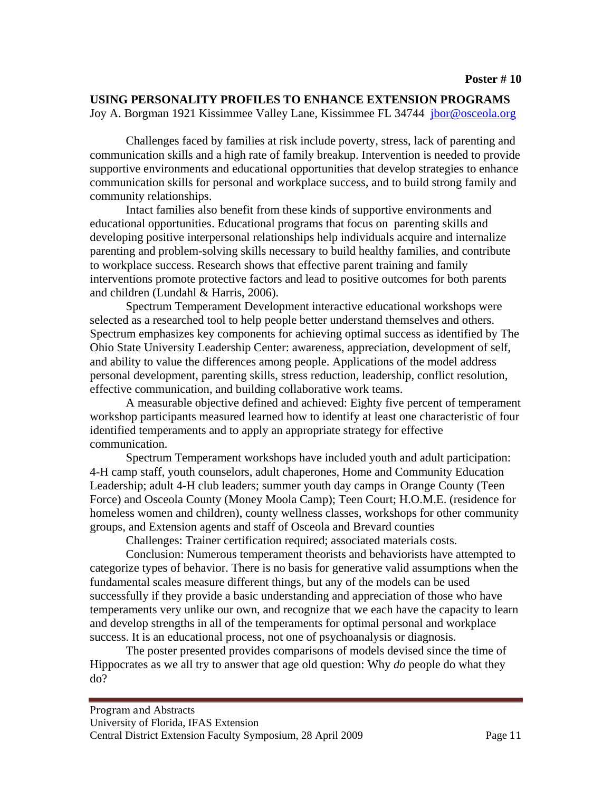#### **USING PERSONALITY PROFILES TO ENHANCE EXTENSION PROGRAMS**

Joy A. Borgman 1921 Kissimmee Valley Lane, Kissimmee FL 34744 [jbor@osceola.org](mailto:jbor@osceola.org)

 Challenges faced by families at risk include poverty, stress, lack of parenting and communication skills and a high rate of family breakup. Intervention is needed to provide supportive environments and educational opportunities that develop strategies to enhance communication skills for personal and workplace success, and to build strong family and community relationships.

 Intact families also benefit from these kinds of supportive environments and educational opportunities. Educational programs that focus on parenting skills and developing positive interpersonal relationships help individuals acquire and internalize parenting and problem-solving skills necessary to build healthy families, and contribute to workplace success. Research shows that effective parent training and family interventions promote protective factors and lead to positive outcomes for both parents and children (Lundahl & Harris, 2006).

 Spectrum Temperament Development interactive educational workshops were selected as a researched tool to help people better understand themselves and others. Spectrum emphasizes key components for achieving optimal success as identified by The Ohio State University Leadership Center: awareness, appreciation, development of self, and ability to value the differences among people. Applications of the model address personal development, parenting skills, stress reduction, leadership, conflict resolution, effective communication, and building collaborative work teams.

 A measurable objective defined and achieved: Eighty five percent of temperament workshop participants measured learned how to identify at least one characteristic of four identified temperaments and to apply an appropriate strategy for effective communication.

 Spectrum Temperament workshops have included youth and adult participation: 4-H camp staff, youth counselors, adult chaperones, Home and Community Education Leadership; adult 4-H club leaders; summer youth day camps in Orange County (Teen Force) and Osceola County (Money Moola Camp); Teen Court; H.O.M.E. (residence for homeless women and children), county wellness classes, workshops for other community groups, and Extension agents and staff of Osceola and Brevard counties

Challenges: Trainer certification required; associated materials costs.

 Conclusion: Numerous temperament theorists and behaviorists have attempted to categorize types of behavior. There is no basis for generative valid assumptions when the fundamental scales measure different things, but any of the models can be used successfully if they provide a basic understanding and appreciation of those who have temperaments very unlike our own, and recognize that we each have the capacity to learn and develop strengths in all of the temperaments for optimal personal and workplace success. It is an educational process, not one of psychoanalysis or diagnosis.

 The poster presented provides comparisons of models devised since the time of Hippocrates as we all try to answer that age old question: Why *do* people do what they do?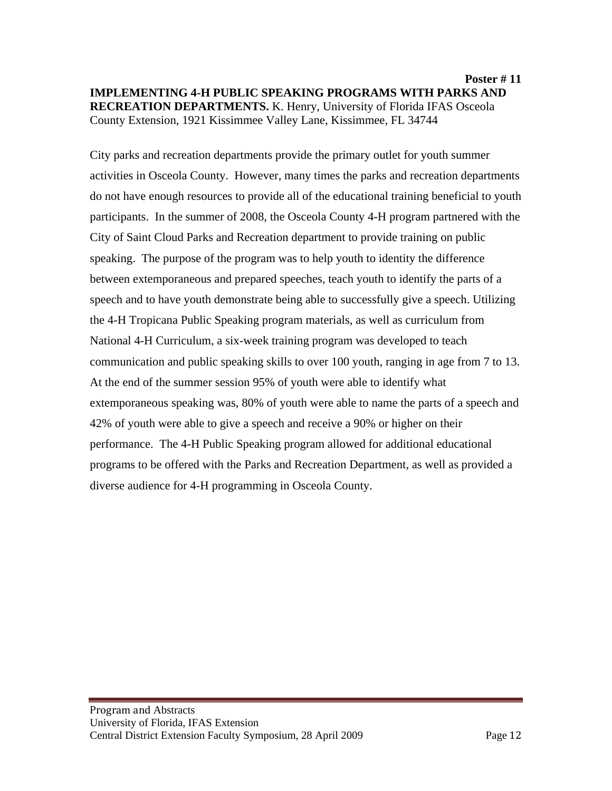**Poster # 11 IMPLEMENTING 4-H PUBLIC SPEAKING PROGRAMS WITH PARKS AND RECREATION DEPARTMENTS.** K. Henry, University of Florida IFAS Osceola County Extension, 1921 Kissimmee Valley Lane, Kissimmee, FL 34744

City parks and recreation departments provide the primary outlet for youth summer activities in Osceola County. However, many times the parks and recreation departments do not have enough resources to provide all of the educational training beneficial to youth participants. In the summer of 2008, the Osceola County 4-H program partnered with the City of Saint Cloud Parks and Recreation department to provide training on public speaking. The purpose of the program was to help youth to identity the difference between extemporaneous and prepared speeches, teach youth to identify the parts of a speech and to have youth demonstrate being able to successfully give a speech. Utilizing the 4-H Tropicana Public Speaking program materials, as well as curriculum from National 4-H Curriculum, a six-week training program was developed to teach communication and public speaking skills to over 100 youth, ranging in age from 7 to 13. At the end of the summer session 95% of youth were able to identify what extemporaneous speaking was, 80% of youth were able to name the parts of a speech and 42% of youth were able to give a speech and receive a 90% or higher on their performance. The 4-H Public Speaking program allowed for additional educational programs to be offered with the Parks and Recreation Department, as well as provided a diverse audience for 4-H programming in Osceola County.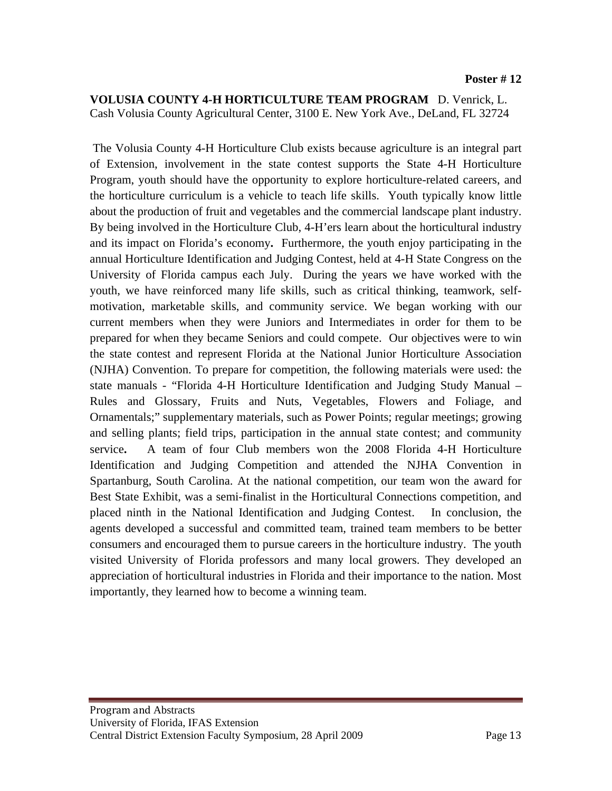#### **VOLUSIA COUNTY 4-H HORTICULTURE TEAM PROGRAM** D. Venrick, L. Cash Volusia County Agricultural Center, 3100 E. New York Ave., DeLand, FL 32724

 The Volusia County 4-H Horticulture Club exists because agriculture is an integral part of Extension, involvement in the state contest supports the State 4-H Horticulture Program, youth should have the opportunity to explore horticulture-related careers, and the horticulture curriculum is a vehicle to teach life skills. Youth typically know little about the production of fruit and vegetables and the commercial landscape plant industry. By being involved in the Horticulture Club, 4-H'ers learn about the horticultural industry and its impact on Florida's economy**.** Furthermore, the youth enjoy participating in the annual Horticulture Identification and Judging Contest, held at 4-H State Congress on the University of Florida campus each July. During the years we have worked with the youth, we have reinforced many life skills, such as critical thinking, teamwork, selfmotivation, marketable skills, and community service. We began working with our current members when they were Juniors and Intermediates in order for them to be prepared for when they became Seniors and could compete. Our objectives were to win the state contest and represent Florida at the National Junior Horticulture Association (NJHA) Convention. To prepare for competition, the following materials were used: the state manuals - "Florida 4-H Horticulture Identification and Judging Study Manual – Rules and Glossary, Fruits and Nuts, Vegetables, Flowers and Foliage, and Ornamentals;" supplementary materials, such as Power Points; regular meetings; growing and selling plants; field trips, participation in the annual state contest; and community service**.** A team of four Club members won the 2008 Florida 4-H Horticulture Identification and Judging Competition and attended the NJHA Convention in Spartanburg, South Carolina. At the national competition, our team won the award for Best State Exhibit, was a semi-finalist in the Horticultural Connections competition, and placed ninth in the National Identification and Judging Contest. In conclusion, the agents developed a successful and committed team, trained team members to be better consumers and encouraged them to pursue careers in the horticulture industry. The youth visited University of Florida professors and many local growers. They developed an appreciation of horticultural industries in Florida and their importance to the nation. Most importantly, they learned how to become a winning team.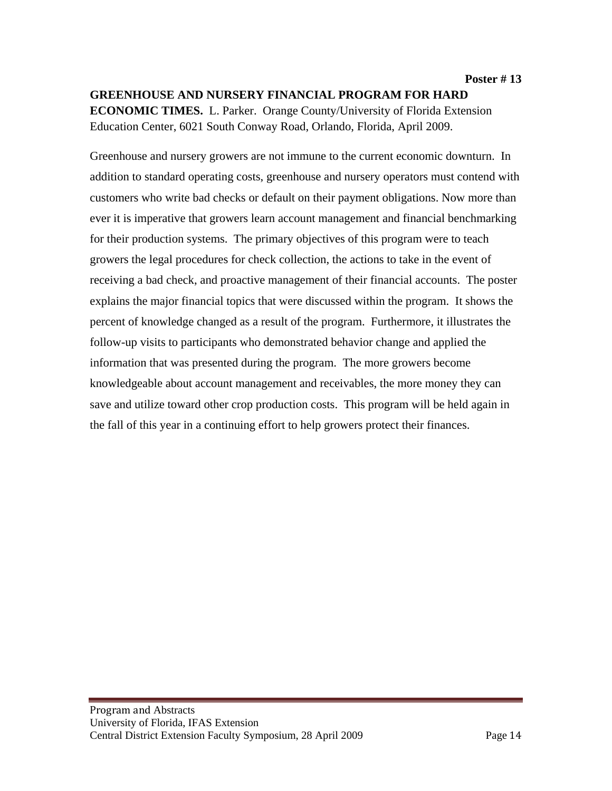Greenhouse and nursery growers are not immune to the current economic downturn. In addition to standard operating costs, greenhouse and nursery operators must contend with customers who write bad checks or default on their payment obligations. Now more than ever it is imperative that growers learn account management and financial benchmarking for their production systems. The primary objectives of this program were to teach growers the legal procedures for check collection, the actions to take in the event of receiving a bad check, and proactive management of their financial accounts. The poster explains the major financial topics that were discussed within the program. It shows the percent of knowledge changed as a result of the program. Furthermore, it illustrates the follow-up visits to participants who demonstrated behavior change and applied the information that was presented during the program. The more growers become knowledgeable about account management and receivables, the more money they can save and utilize toward other crop production costs. This program will be held again in the fall of this year in a continuing effort to help growers protect their finances.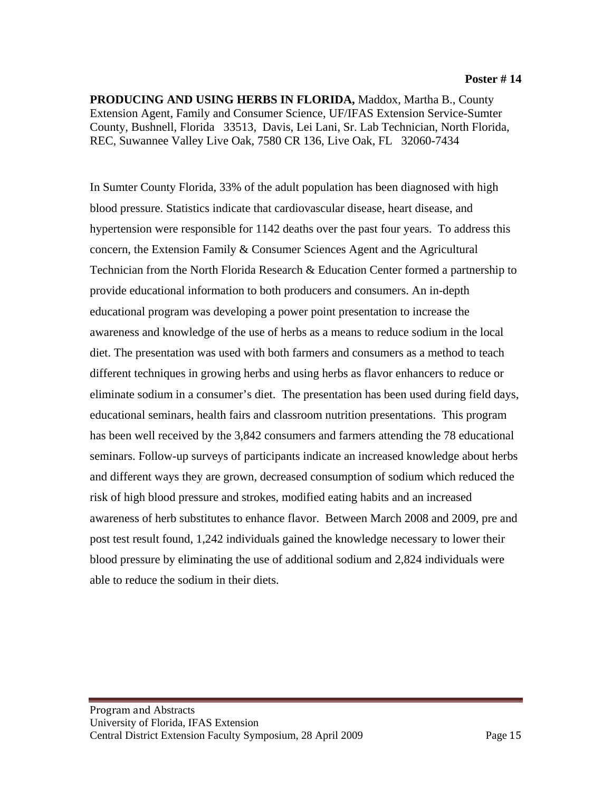**PRODUCING AND USING HERBS IN FLORIDA,** Maddox, Martha B., County Extension Agent, Family and Consumer Science, UF/IFAS Extension Service-Sumter County, Bushnell, Florida 33513, Davis, Lei Lani, Sr. Lab Technician, North Florida, REC, Suwannee Valley Live Oak, 7580 CR 136, Live Oak, FL 32060-7434

In Sumter County Florida, 33% of the adult population has been diagnosed with high blood pressure. Statistics indicate that cardiovascular disease, heart disease, and hypertension were responsible for 1142 deaths over the past four years. To address this concern, the Extension Family & Consumer Sciences Agent and the Agricultural Technician from the North Florida Research & Education Center formed a partnership to provide educational information to both producers and consumers. An in-depth educational program was developing a power point presentation to increase the awareness and knowledge of the use of herbs as a means to reduce sodium in the local diet. The presentation was used with both farmers and consumers as a method to teach different techniques in growing herbs and using herbs as flavor enhancers to reduce or eliminate sodium in a consumer's diet. The presentation has been used during field days, educational seminars, health fairs and classroom nutrition presentations. This program has been well received by the 3,842 consumers and farmers attending the 78 educational seminars. Follow-up surveys of participants indicate an increased knowledge about herbs and different ways they are grown, decreased consumption of sodium which reduced the risk of high blood pressure and strokes, modified eating habits and an increased awareness of herb substitutes to enhance flavor. Between March 2008 and 2009, pre and post test result found, 1,242 individuals gained the knowledge necessary to lower their blood pressure by eliminating the use of additional sodium and 2,824 individuals were able to reduce the sodium in their diets.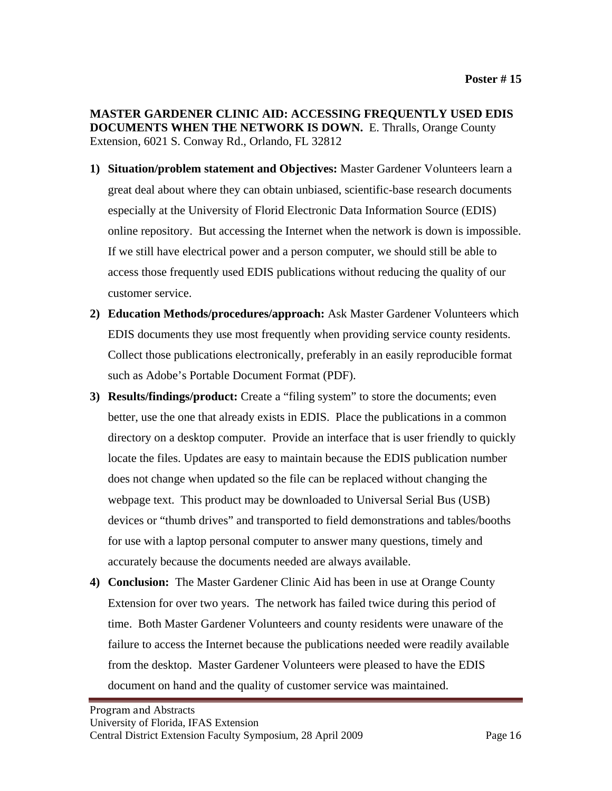**MASTER GARDENER CLINIC AID: ACCESSING FREQUENTLY USED EDIS DOCUMENTS WHEN THE NETWORK IS DOWN.** E. Thralls, Orange County Extension, 6021 S. Conway Rd., Orlando, FL 32812

- **1) Situation/problem statement and Objectives:** Master Gardener Volunteers learn a great deal about where they can obtain unbiased, scientific-base research documents especially at the University of Florid Electronic Data Information Source (EDIS) online repository. But accessing the Internet when the network is down is impossible. If we still have electrical power and a person computer, we should still be able to access those frequently used EDIS publications without reducing the quality of our customer service.
- **2) Education Methods/procedures/approach:** Ask Master Gardener Volunteers which EDIS documents they use most frequently when providing service county residents. Collect those publications electronically, preferably in an easily reproducible format such as Adobe's Portable Document Format (PDF).
- **3) Results/findings/product:** Create a "filing system" to store the documents; even better, use the one that already exists in EDIS. Place the publications in a common directory on a desktop computer. Provide an interface that is user friendly to quickly locate the files. Updates are easy to maintain because the EDIS publication number does not change when updated so the file can be replaced without changing the webpage text. This product may be downloaded to Universal Serial Bus (USB) devices or "thumb drives" and transported to field demonstrations and tables/booths for use with a laptop personal computer to answer many questions, timely and accurately because the documents needed are always available.
- **4) Conclusion:** The Master Gardener Clinic Aid has been in use at Orange County Extension for over two years. The network has failed twice during this period of time. Both Master Gardener Volunteers and county residents were unaware of the failure to access the Internet because the publications needed were readily available from the desktop. Master Gardener Volunteers were pleased to have the EDIS document on hand and the quality of customer service was maintained.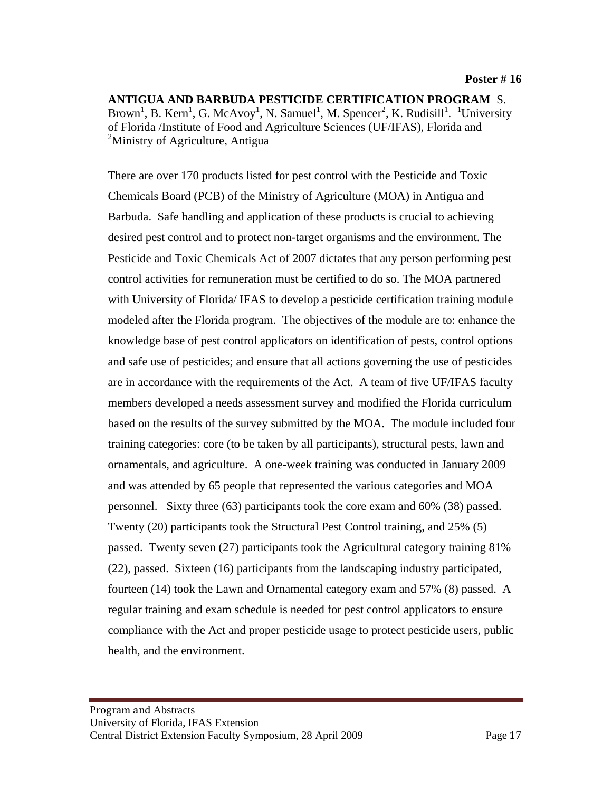**ANTIGUA AND BARBUDA PESTICIDE CERTIFICATION PROGRAM** S. Brown<sup>1</sup>, B. Kern<sup>1</sup>, G. McAvoy<sup>1</sup>, N. Samuel<sup>1</sup>, M. Spencer<sup>2</sup>, K. Rudisill<sup>1</sup>. <sup>1</sup>University of Florida /Institute of Food and Agriculture Sciences (UF/IFAS), Florida and <sup>2</sup>Ministry of Agriculture, Antigua

There are over 170 products listed for pest control with the Pesticide and Toxic Chemicals Board (PCB) of the Ministry of Agriculture (MOA) in Antigua and Barbuda. Safe handling and application of these products is crucial to achieving desired pest control and to protect non-target organisms and the environment. The Pesticide and Toxic Chemicals Act of 2007 dictates that any person performing pest control activities for remuneration must be certified to do so. The MOA partnered with University of Florida/ IFAS to develop a pesticide certification training module modeled after the Florida program. The objectives of the module are to: enhance the knowledge base of pest control applicators on identification of pests, control options and safe use of pesticides; and ensure that all actions governing the use of pesticides are in accordance with the requirements of the Act. A team of five UF/IFAS faculty members developed a needs assessment survey and modified the Florida curriculum based on the results of the survey submitted by the MOA. The module included four training categories: core (to be taken by all participants), structural pests, lawn and ornamentals, and agriculture. A one-week training was conducted in January 2009 and was attended by 65 people that represented the various categories and MOA personnel. Sixty three (63) participants took the core exam and 60% (38) passed. Twenty (20) participants took the Structural Pest Control training, and 25% (5) passed. Twenty seven (27) participants took the Agricultural category training 81% (22), passed. Sixteen (16) participants from the landscaping industry participated, fourteen (14) took the Lawn and Ornamental category exam and 57% (8) passed. A regular training and exam schedule is needed for pest control applicators to ensure compliance with the Act and proper pesticide usage to protect pesticide users, public health, and the environment.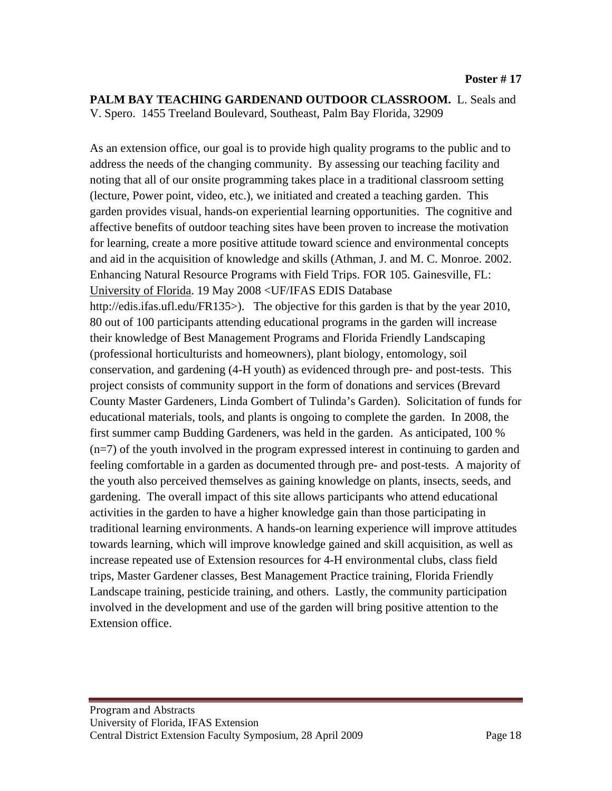**PALM BAY TEACHING GARDENAND OUTDOOR CLASSROOM.** L. Seals and V. Spero. 1455 Treeland Boulevard, Southeast, Palm Bay Florida, 32909

As an extension office, our goal is to provide high quality programs to the public and to address the needs of the changing community. By assessing our teaching facility and noting that all of our onsite programming takes place in a traditional classroom setting (lecture, Power point, video, etc.), we initiated and created a teaching garden. This garden provides visual, hands-on experiential learning opportunities. The cognitive and affective benefits of outdoor teaching sites have been proven to increase the motivation for learning, create a more positive attitude toward science and environmental concepts and aid in the acquisition of knowledge and skills (Athman, J. and M. C. Monroe. 2002. Enhancing Natural Resource Programs with Field Trips. FOR 105. Gainesville, FL: University of Florida. 19 May 2008 <UF/IFAS EDIS Database http://edis.ifas.ufl.edu/FR135>). The objective for this garden is that by the year 2010, 80 out of 100 participants attending educational programs in the garden will increase their knowledge of Best Management Programs and Florida Friendly Landscaping (professional horticulturists and homeowners), plant biology, entomology, soil conservation, and gardening (4-H youth) as evidenced through pre- and post-tests. This project consists of community support in the form of donations and services (Brevard County Master Gardeners, Linda Gombert of Tulinda's Garden). Solicitation of funds for educational materials, tools, and plants is ongoing to complete the garden. In 2008, the first summer camp Budding Gardeners, was held in the garden. As anticipated, 100 % (n=7) of the youth involved in the program expressed interest in continuing to garden and feeling comfortable in a garden as documented through pre- and post-tests. A majority of the youth also perceived themselves as gaining knowledge on plants, insects, seeds, and gardening. The overall impact of this site allows participants who attend educational activities in the garden to have a higher knowledge gain than those participating in traditional learning environments. A hands-on learning experience will improve attitudes towards learning, which will improve knowledge gained and skill acquisition, as well as increase repeated use of Extension resources for 4-H environmental clubs, class field trips, Master Gardener classes, Best Management Practice training, Florida Friendly Landscape training, pesticide training, and others. Lastly, the community participation involved in the development and use of the garden will bring positive attention to the Extension office.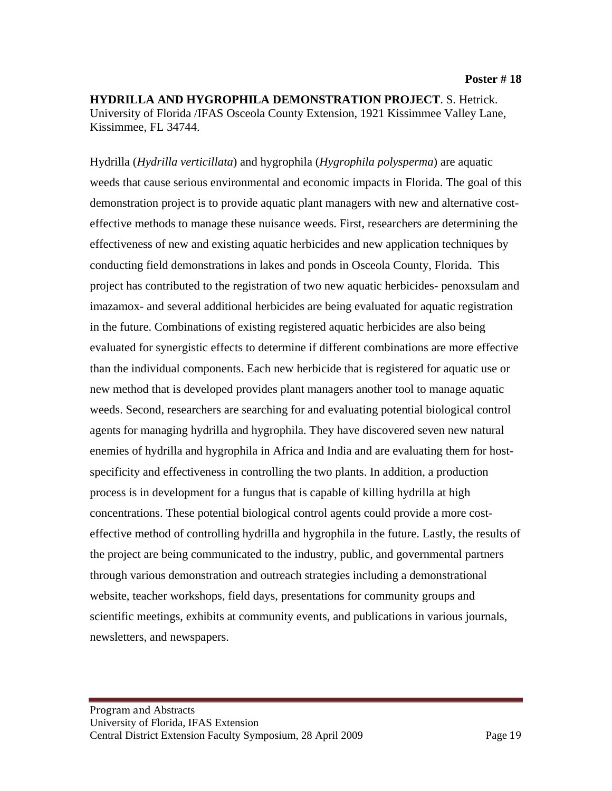**HYDRILLA AND HYGROPHILA DEMONSTRATION PROJECT**. S. Hetrick. University of Florida /IFAS Osceola County Extension, 1921 Kissimmee Valley Lane, Kissimmee, FL 34744.

Hydrilla (*Hydrilla verticillata*) and hygrophila (*Hygrophila polysperma*) are aquatic weeds that cause serious environmental and economic impacts in Florida. The goal of this demonstration project is to provide aquatic plant managers with new and alternative costeffective methods to manage these nuisance weeds. First, researchers are determining the effectiveness of new and existing aquatic herbicides and new application techniques by conducting field demonstrations in lakes and ponds in Osceola County, Florida. This project has contributed to the registration of two new aquatic herbicides- penoxsulam and imazamox- and several additional herbicides are being evaluated for aquatic registration in the future. Combinations of existing registered aquatic herbicides are also being evaluated for synergistic effects to determine if different combinations are more effective than the individual components. Each new herbicide that is registered for aquatic use or new method that is developed provides plant managers another tool to manage aquatic weeds. Second, researchers are searching for and evaluating potential biological control agents for managing hydrilla and hygrophila. They have discovered seven new natural enemies of hydrilla and hygrophila in Africa and India and are evaluating them for hostspecificity and effectiveness in controlling the two plants. In addition, a production process is in development for a fungus that is capable of killing hydrilla at high concentrations. These potential biological control agents could provide a more costeffective method of controlling hydrilla and hygrophila in the future. Lastly, the results of the project are being communicated to the industry, public, and governmental partners through various demonstration and outreach strategies including a demonstrational website, teacher workshops, field days, presentations for community groups and scientific meetings, exhibits at community events, and publications in various journals, newsletters, and newspapers.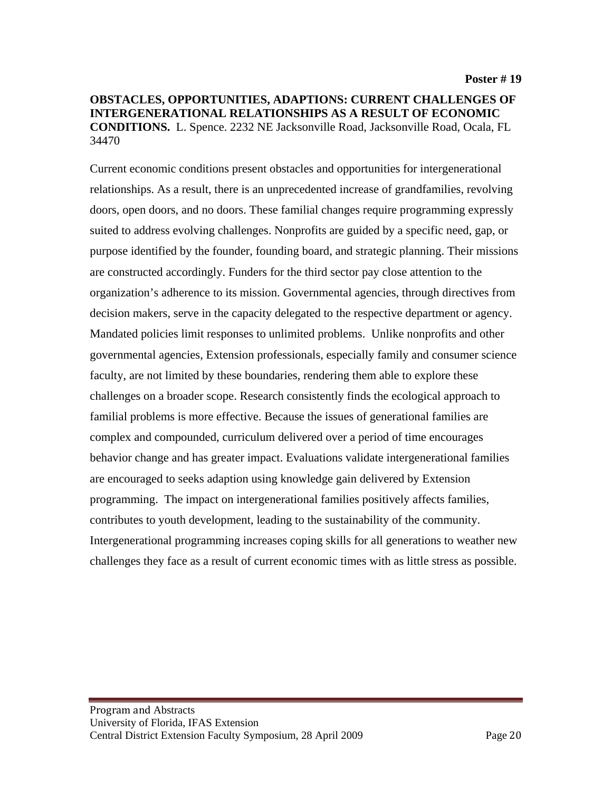#### **OBSTACLES, OPPORTUNITIES, ADAPTIONS: CURRENT CHALLENGES OF INTERGENERATIONAL RELATIONSHIPS AS A RESULT OF ECONOMIC CONDITIONS.** L. Spence. 2232 NE Jacksonville Road, Jacksonville Road, Ocala, FL 34470

Current economic conditions present obstacles and opportunities for intergenerational relationships. As a result, there is an unprecedented increase of grandfamilies, revolving doors, open doors, and no doors. These familial changes require programming expressly suited to address evolving challenges. Nonprofits are guided by a specific need, gap, or purpose identified by the founder, founding board, and strategic planning. Their missions are constructed accordingly. Funders for the third sector pay close attention to the organization's adherence to its mission. Governmental agencies, through directives from decision makers, serve in the capacity delegated to the respective department or agency. Mandated policies limit responses to unlimited problems. Unlike nonprofits and other governmental agencies, Extension professionals, especially family and consumer science faculty, are not limited by these boundaries, rendering them able to explore these challenges on a broader scope. Research consistently finds the ecological approach to familial problems is more effective. Because the issues of generational families are complex and compounded, curriculum delivered over a period of time encourages behavior change and has greater impact. Evaluations validate intergenerational families are encouraged to seeks adaption using knowledge gain delivered by Extension programming. The impact on intergenerational families positively affects families, contributes to youth development, leading to the sustainability of the community. Intergenerational programming increases coping skills for all generations to weather new challenges they face as a result of current economic times with as little stress as possible.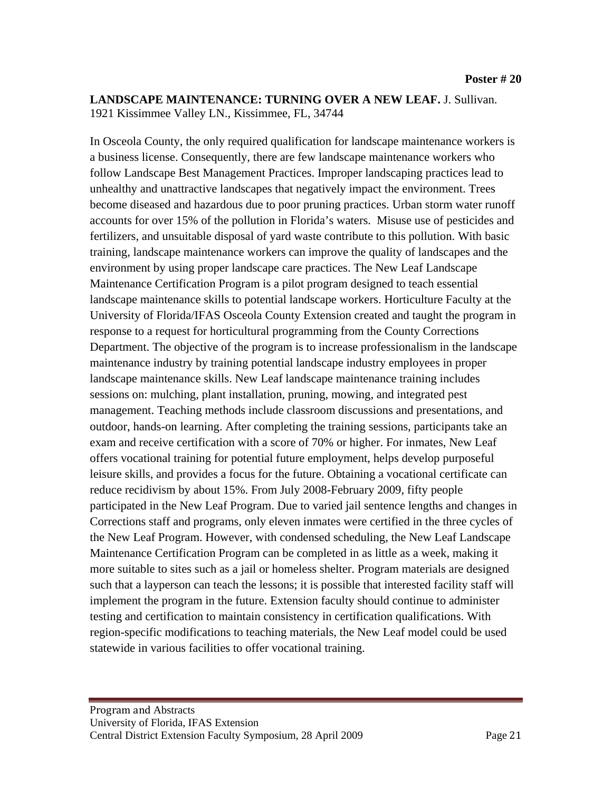#### **LANDSCAPE MAINTENANCE: TURNING OVER A NEW LEAF.** J. Sullivan. 1921 Kissimmee Valley LN., Kissimmee, FL, 34744

In Osceola County, the only required qualification for landscape maintenance workers is a business license. Consequently, there are few landscape maintenance workers who follow Landscape Best Management Practices. Improper landscaping practices lead to unhealthy and unattractive landscapes that negatively impact the environment. Trees become diseased and hazardous due to poor pruning practices. Urban storm water runoff accounts for over 15% of the pollution in Florida's waters. Misuse use of pesticides and fertilizers, and unsuitable disposal of yard waste contribute to this pollution. With basic training, landscape maintenance workers can improve the quality of landscapes and the environment by using proper landscape care practices. The New Leaf Landscape Maintenance Certification Program is a pilot program designed to teach essential landscape maintenance skills to potential landscape workers. Horticulture Faculty at the University of Florida/IFAS Osceola County Extension created and taught the program in response to a request for horticultural programming from the County Corrections Department. The objective of the program is to increase professionalism in the landscape maintenance industry by training potential landscape industry employees in proper landscape maintenance skills. New Leaf landscape maintenance training includes sessions on: mulching, plant installation, pruning, mowing, and integrated pest management. Teaching methods include classroom discussions and presentations, and outdoor, hands-on learning. After completing the training sessions, participants take an exam and receive certification with a score of 70% or higher. For inmates, New Leaf offers vocational training for potential future employment, helps develop purposeful leisure skills, and provides a focus for the future. Obtaining a vocational certificate can reduce recidivism by about 15%. From July 2008-February 2009, fifty people participated in the New Leaf Program. Due to varied jail sentence lengths and changes in Corrections staff and programs, only eleven inmates were certified in the three cycles of the New Leaf Program. However, with condensed scheduling, the New Leaf Landscape Maintenance Certification Program can be completed in as little as a week, making it more suitable to sites such as a jail or homeless shelter. Program materials are designed such that a layperson can teach the lessons; it is possible that interested facility staff will implement the program in the future. Extension faculty should continue to administer testing and certification to maintain consistency in certification qualifications. With region-specific modifications to teaching materials, the New Leaf model could be used statewide in various facilities to offer vocational training.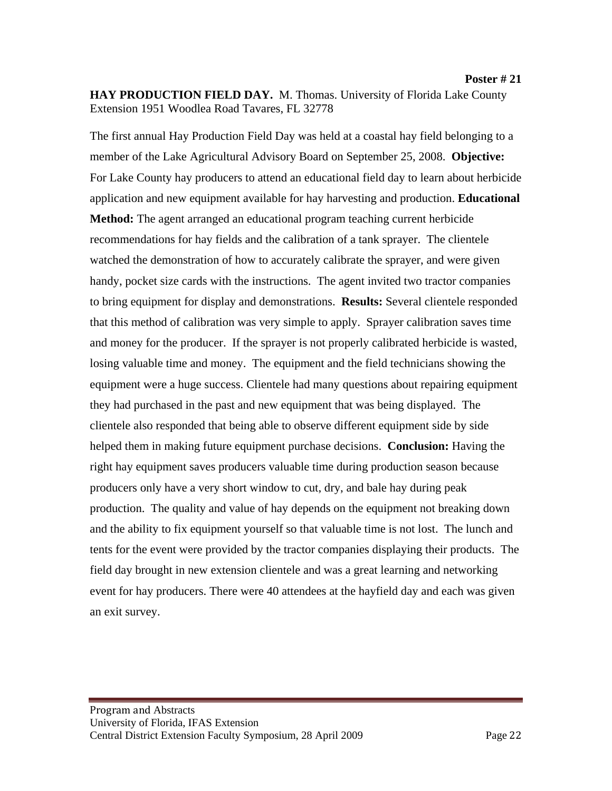The first annual Hay Production Field Day was held at a coastal hay field belonging to a member of the Lake Agricultural Advisory Board on September 25, 2008. **Objective:** For Lake County hay producers to attend an educational field day to learn about herbicide application and new equipment available for hay harvesting and production. **Educational Method:** The agent arranged an educational program teaching current herbicide recommendations for hay fields and the calibration of a tank sprayer. The clientele watched the demonstration of how to accurately calibrate the sprayer, and were given handy, pocket size cards with the instructions. The agent invited two tractor companies to bring equipment for display and demonstrations. **Results:** Several clientele responded that this method of calibration was very simple to apply. Sprayer calibration saves time and money for the producer. If the sprayer is not properly calibrated herbicide is wasted, losing valuable time and money. The equipment and the field technicians showing the equipment were a huge success. Clientele had many questions about repairing equipment they had purchased in the past and new equipment that was being displayed. The clientele also responded that being able to observe different equipment side by side helped them in making future equipment purchase decisions. **Conclusion:** Having the right hay equipment saves producers valuable time during production season because producers only have a very short window to cut, dry, and bale hay during peak production. The quality and value of hay depends on the equipment not breaking down and the ability to fix equipment yourself so that valuable time is not lost. The lunch and tents for the event were provided by the tractor companies displaying their products. The field day brought in new extension clientele and was a great learning and networking event for hay producers. There were 40 attendees at the hayfield day and each was given an exit survey.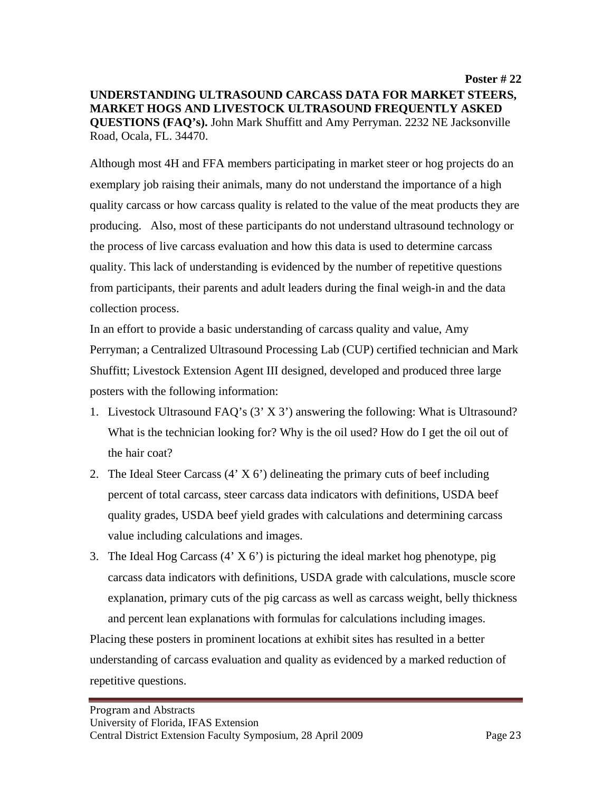**Poster # 22 UNDERSTANDING ULTRASOUND CARCASS DATA FOR MARKET STEERS, MARKET HOGS AND LIVESTOCK ULTRASOUND FREQUENTLY ASKED QUESTIONS (FAQ's).** John Mark Shuffitt and Amy Perryman. 2232 NE Jacksonville Road, Ocala, FL. 34470.

Although most 4H and FFA members participating in market steer or hog projects do an exemplary job raising their animals, many do not understand the importance of a high quality carcass or how carcass quality is related to the value of the meat products they are producing. Also, most of these participants do not understand ultrasound technology or the process of live carcass evaluation and how this data is used to determine carcass quality. This lack of understanding is evidenced by the number of repetitive questions from participants, their parents and adult leaders during the final weigh-in and the data collection process.

In an effort to provide a basic understanding of carcass quality and value, Amy Perryman; a Centralized Ultrasound Processing Lab (CUP) certified technician and Mark Shuffitt; Livestock Extension Agent III designed, developed and produced three large posters with the following information:

- 1. Livestock Ultrasound FAQ's (3' X 3') answering the following: What is Ultrasound? What is the technician looking for? Why is the oil used? How do I get the oil out of the hair coat?
- 2. The Ideal Steer Carcass  $(4' \times 6')$  delineating the primary cuts of beef including percent of total carcass, steer carcass data indicators with definitions, USDA beef quality grades, USDA beef yield grades with calculations and determining carcass value including calculations and images.
- 3. The Ideal Hog Carcass (4' X 6') is picturing the ideal market hog phenotype, pig carcass data indicators with definitions, USDA grade with calculations, muscle score explanation, primary cuts of the pig carcass as well as carcass weight, belly thickness and percent lean explanations with formulas for calculations including images.

Placing these posters in prominent locations at exhibit sites has resulted in a better understanding of carcass evaluation and quality as evidenced by a marked reduction of repetitive questions.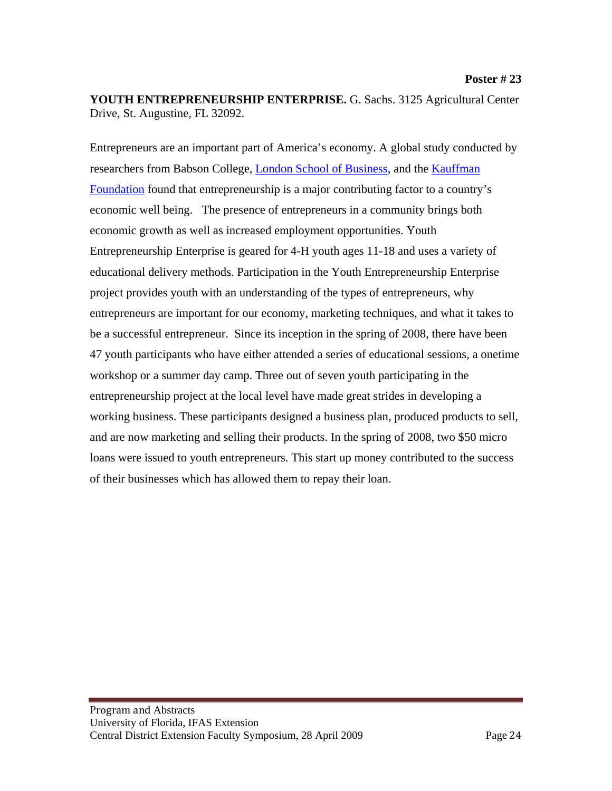**YOUTH ENTREPRENEURSHIP ENTERPRISE.** G. Sachs. 3125 Agricultural Center Drive, St. Augustine, FL 32092.

Entrepreneurs are an important part of America's economy. A global study conducted by researchers from Babson College, [London School of Business,](http://www.london.edu/) and the [Kauffman](http://web.kauffman.org/)  [Foundation](http://web.kauffman.org/) found that entrepreneurship is a major contributing factor to a country's economic well being. The presence of entrepreneurs in a community brings both economic growth as well as increased employment opportunities. Youth Entrepreneurship Enterprise is geared for 4-H youth ages 11-18 and uses a variety of educational delivery methods. Participation in the Youth Entrepreneurship Enterprise project provides youth with an understanding of the types of entrepreneurs, why entrepreneurs are important for our economy, marketing techniques, and what it takes to be a successful entrepreneur. Since its inception in the spring of 2008, there have been 47 youth participants who have either attended a series of educational sessions, a onetime workshop or a summer day camp. Three out of seven youth participating in the entrepreneurship project at the local level have made great strides in developing a working business. These participants designed a business plan, produced products to sell, and are now marketing and selling their products. In the spring of 2008, two \$50 micro loans were issued to youth entrepreneurs. This start up money contributed to the success of their businesses which has allowed them to repay their loan.